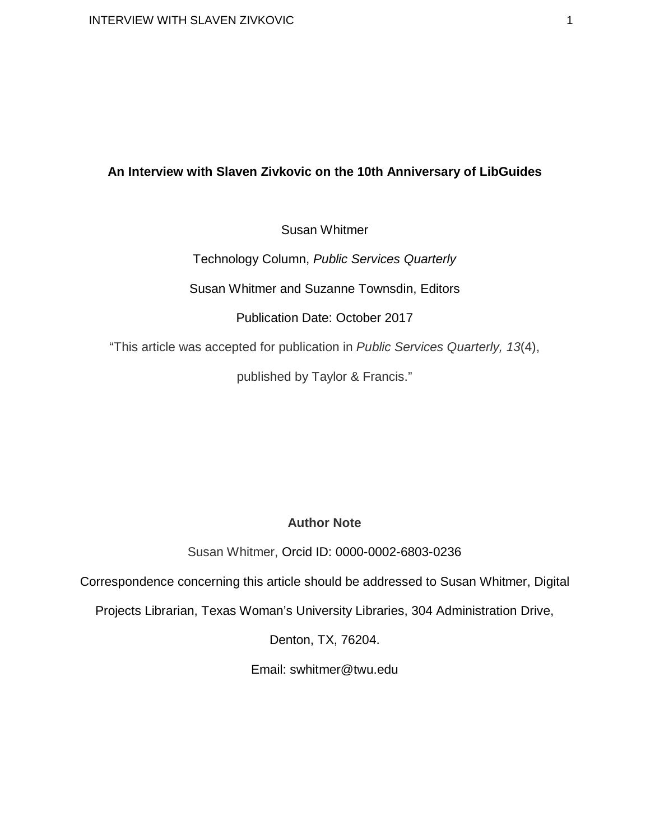# **An Interview with Slaven Zivkovic on the 10th Anniversary of LibGuides**

Susan Whitmer

Technology Column, *Public Services Quarterly*

Susan Whitmer and Suzanne Townsdin, Editors

Publication Date: October 2017

"This article was accepted for publication in *Public Services Quarterly, 13*(4),

published by Taylor & Francis."

# **Author Note**

Susan Whitmer, Orcid ID: 0000-0002-6803-0236

Correspondence concerning this article should be addressed to Susan Whitmer, Digital

Projects Librarian, Texas Woman's University Libraries, 304 Administration Drive,

Denton, TX, 76204.

Email: swhitmer@twu.edu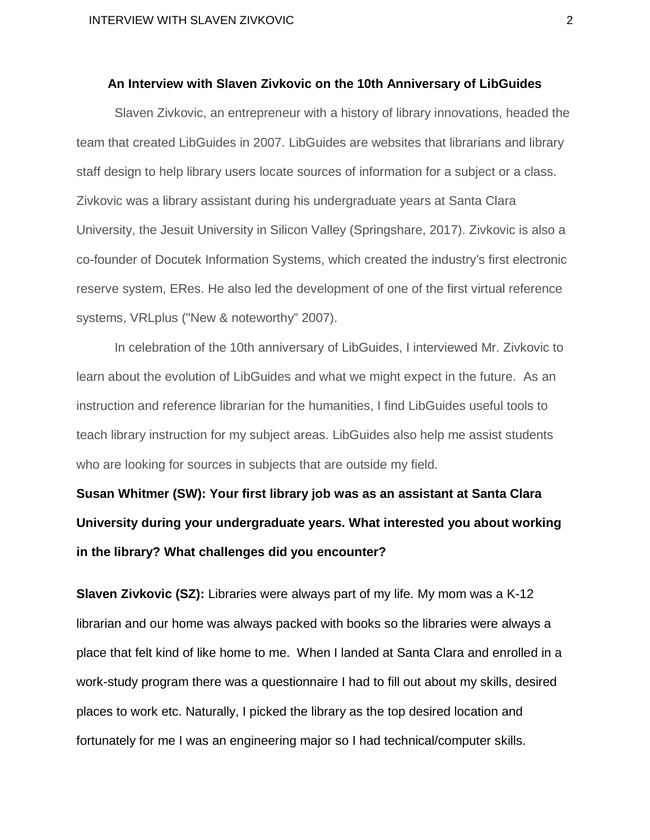### **An Interview with Slaven Zivkovic on the 10th Anniversary of LibGuides**

Slaven Zivkovic, an entrepreneur with a history of library innovations, headed the team that created LibGuides in 2007. LibGuides are websites that librarians and library staff design to help library users locate sources of information for a subject or a class. Zivkovic was a library assistant during his undergraduate years at Santa Clara University, the Jesuit University in Silicon Valley (Springshare, 2017). Zivkovic is also a co-founder of Docutek Information Systems, which created the industry's first electronic reserve system, ERes. He also led the development of one of the first virtual reference systems, VRLplus ("New & noteworthy" 2007).

In celebration of the 10th anniversary of LibGuides, I interviewed Mr. Zivkovic to learn about the evolution of LibGuides and what we might expect in the future. As an instruction and reference librarian for the humanities, I find LibGuides useful tools to teach library instruction for my subject areas. LibGuides also help me assist students who are looking for sources in subjects that are outside my field.

**Susan Whitmer (SW): Your first library job was as an assistant at Santa Clara University during your undergraduate years. What interested you about working in the library? What challenges did you encounter?**

**Slaven Zivkovic (SZ):** Libraries were always part of my life. My mom was a K-12 librarian and our home was always packed with books so the libraries were always a place that felt kind of like home to me. When I landed at Santa Clara and enrolled in a work-study program there was a questionnaire I had to fill out about my skills, desired places to work etc. Naturally, I picked the library as the top desired location and fortunately for me I was an engineering major so I had technical/computer skills.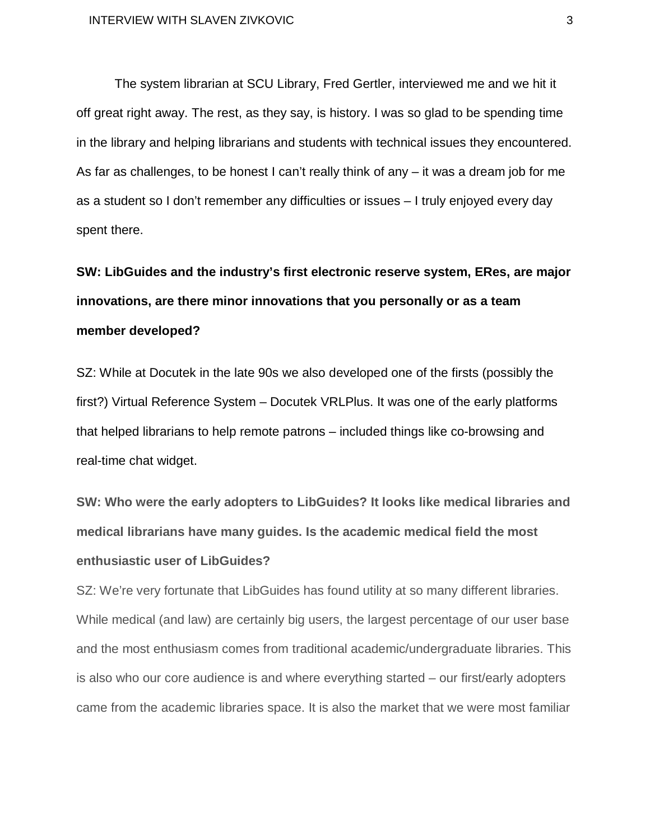The system librarian at SCU Library, Fred Gertler, interviewed me and we hit it off great right away. The rest, as they say, is history. I was so glad to be spending time in the library and helping librarians and students with technical issues they encountered. As far as challenges, to be honest I can't really think of any – it was a dream job for me as a student so I don't remember any difficulties or issues – I truly enjoyed every day spent there.

# **SW: LibGuides and the industry's first electronic reserve system, ERes, are major innovations, are there minor innovations that you personally or as a team member developed?**

SZ: While at Docutek in the late 90s we also developed one of the firsts (possibly the first?) Virtual Reference System – Docutek VRLPlus. It was one of the early platforms that helped librarians to help remote patrons – included things like co-browsing and real-time chat widget.

**SW: Who were the early adopters to LibGuides? It looks like medical libraries and medical librarians have many guides. Is the academic medical field the most enthusiastic user of LibGuides?**

SZ: We're very fortunate that LibGuides has found utility at so many different libraries. While medical (and law) are certainly big users, the largest percentage of our user base and the most enthusiasm comes from traditional academic/undergraduate libraries. This is also who our core audience is and where everything started – our first/early adopters came from the academic libraries space. It is also the market that we were most familiar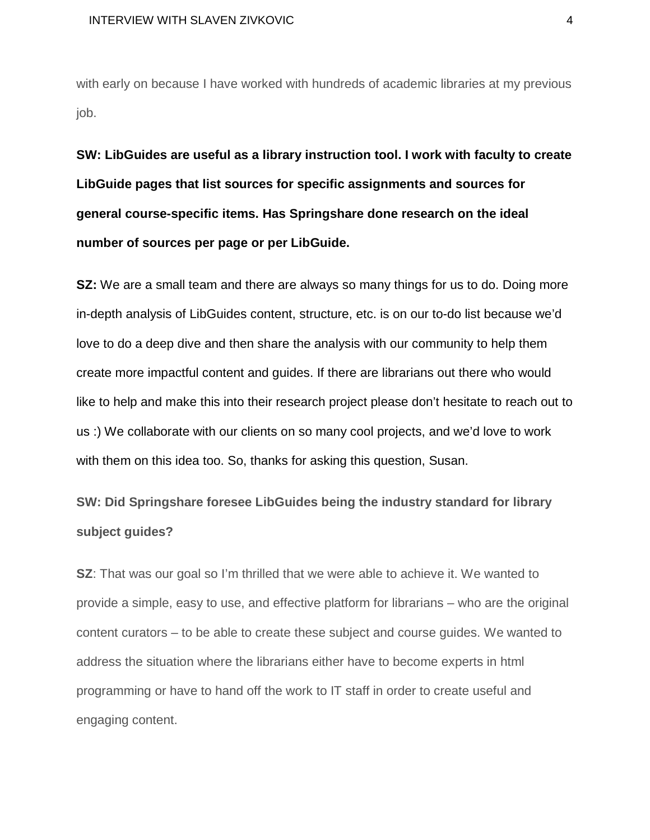with early on because I have worked with hundreds of academic libraries at my previous job.

**SW: LibGuides are useful as a library instruction tool. I work with faculty to create LibGuide pages that list sources for specific assignments and sources for general course-specific items. Has Springshare done research on the ideal number of sources per page or per LibGuide.**

**SZ:** We are a small team and there are always so many things for us to do. Doing more in-depth analysis of LibGuides content, structure, etc. is on our to-do list because we'd love to do a deep dive and then share the analysis with our community to help them create more impactful content and guides. If there are librarians out there who would like to help and make this into their research project please don't hesitate to reach out to us :) We collaborate with our clients on so many cool projects, and we'd love to work with them on this idea too. So, thanks for asking this question, Susan.

**SW: Did Springshare foresee LibGuides being the industry standard for library subject guides?**

**SZ**: That was our goal so I'm thrilled that we were able to achieve it. We wanted to provide a simple, easy to use, and effective platform for librarians – who are the original content curators – to be able to create these subject and course guides. We wanted to address the situation where the librarians either have to become experts in html programming or have to hand off the work to IT staff in order to create useful and engaging content.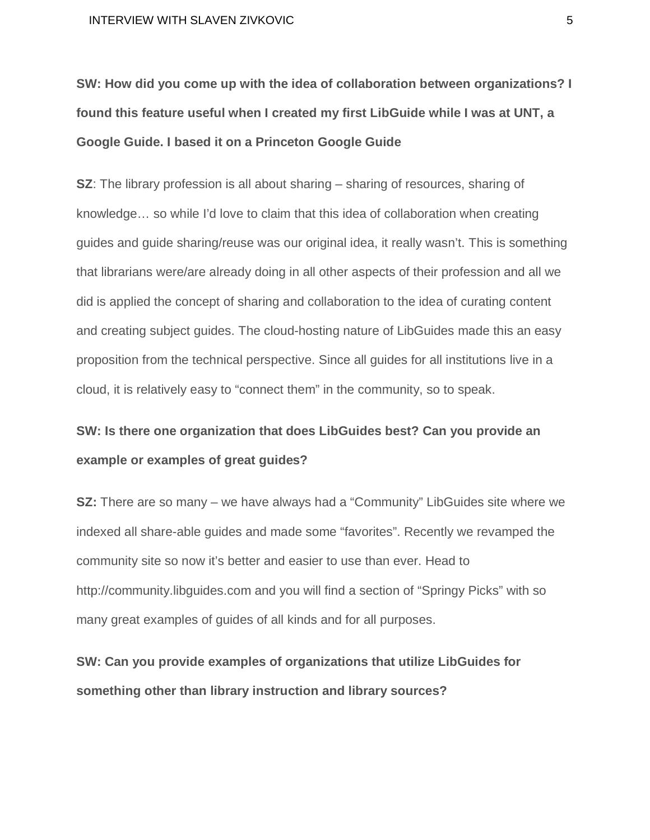**SW: How did you come up with the idea of collaboration between organizations? I found this feature useful when I created my first LibGuide while I was at UNT, a Google Guide. I based it on a Princeton Google Guide**

**SZ**: The library profession is all about sharing – sharing of resources, sharing of knowledge… so while I'd love to claim that this idea of collaboration when creating guides and guide sharing/reuse was our original idea, it really wasn't. This is something that librarians were/are already doing in all other aspects of their profession and all we did is applied the concept of sharing and collaboration to the idea of curating content and creating subject guides. The cloud-hosting nature of LibGuides made this an easy proposition from the technical perspective. Since all guides for all institutions live in a cloud, it is relatively easy to "connect them" in the community, so to speak.

# **SW: Is there one organization that does LibGuides best? Can you provide an example or examples of great guides?**

**SZ:** There are so many – we have always had a "Community" LibGuides site where we indexed all share-able guides and made some "favorites". Recently we revamped the community site so now it's better and easier to use than ever. Head to http://community.libguides.com and you will find a section of "Springy Picks" with so many great examples of guides of all kinds and for all purposes.

**SW: Can you provide examples of organizations that utilize LibGuides for something other than library instruction and library sources?**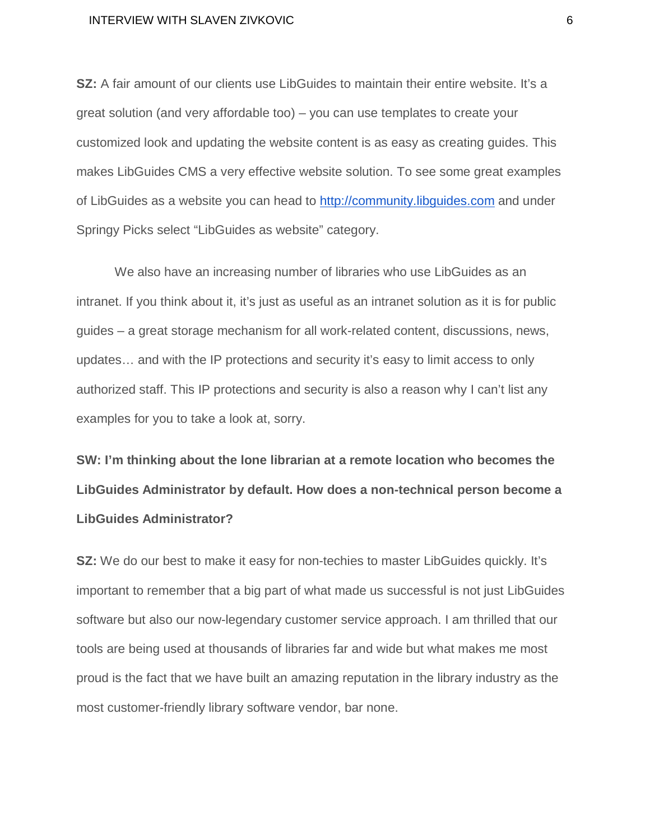**SZ:** A fair amount of our clients use LibGuides to maintain their entire website. It's a great solution (and very affordable too) – you can use templates to create your customized look and updating the website content is as easy as creating guides. This makes LibGuides CMS a very effective website solution. To see some great examples of LibGuides as a website you can head to [http://community.libguides.com](http://community.libguides.com/) and under Springy Picks select "LibGuides as website" category.

We also have an increasing number of libraries who use LibGuides as an intranet. If you think about it, it's just as useful as an intranet solution as it is for public guides – a great storage mechanism for all work-related content, discussions, news, updates… and with the IP protections and security it's easy to limit access to only authorized staff. This IP protections and security is also a reason why I can't list any examples for you to take a look at, sorry.

**SW: I'm thinking about the lone librarian at a remote location who becomes the LibGuides Administrator by default. How does a non-technical person become a LibGuides Administrator?**

**SZ:** We do our best to make it easy for non-techies to master LibGuides quickly. It's important to remember that a big part of what made us successful is not just LibGuides software but also our now-legendary customer service approach. I am thrilled that our tools are being used at thousands of libraries far and wide but what makes me most proud is the fact that we have built an amazing reputation in the library industry as the most customer-friendly library software vendor, bar none.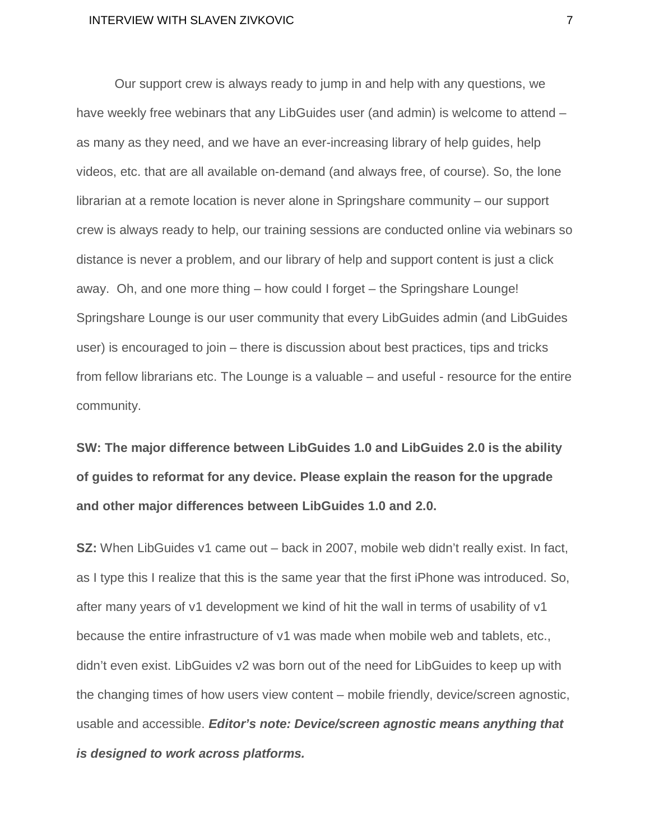Our support crew is always ready to jump in and help with any questions, we have weekly free webinars that any LibGuides user (and admin) is welcome to attend – as many as they need, and we have an ever-increasing library of help guides, help videos, etc. that are all available on-demand (and always free, of course). So, the lone librarian at a remote location is never alone in Springshare community – our support crew is always ready to help, our training sessions are conducted online via webinars so distance is never a problem, and our library of help and support content is just a click away. Oh, and one more thing – how could I forget – the Springshare Lounge! Springshare Lounge is our user community that every LibGuides admin (and LibGuides user) is encouraged to join – there is discussion about best practices, tips and tricks from fellow librarians etc. The Lounge is a valuable – and useful - resource for the entire community.

**SW: The major difference between LibGuides 1.0 and LibGuides 2.0 is the ability of guides to reformat for any device. Please explain the reason for the upgrade and other major differences between LibGuides 1.0 and 2.0.**

**SZ:** When LibGuides v1 came out – back in 2007, mobile web didn't really exist. In fact, as I type this I realize that this is the same year that the first iPhone was introduced. So, after many years of v1 development we kind of hit the wall in terms of usability of v1 because the entire infrastructure of v1 was made when mobile web and tablets, etc., didn't even exist. LibGuides v2 was born out of the need for LibGuides to keep up with the changing times of how users view content – mobile friendly, device/screen agnostic, usable and accessible. *Editor's note: Device/screen agnostic means anything that is designed to work across platforms.*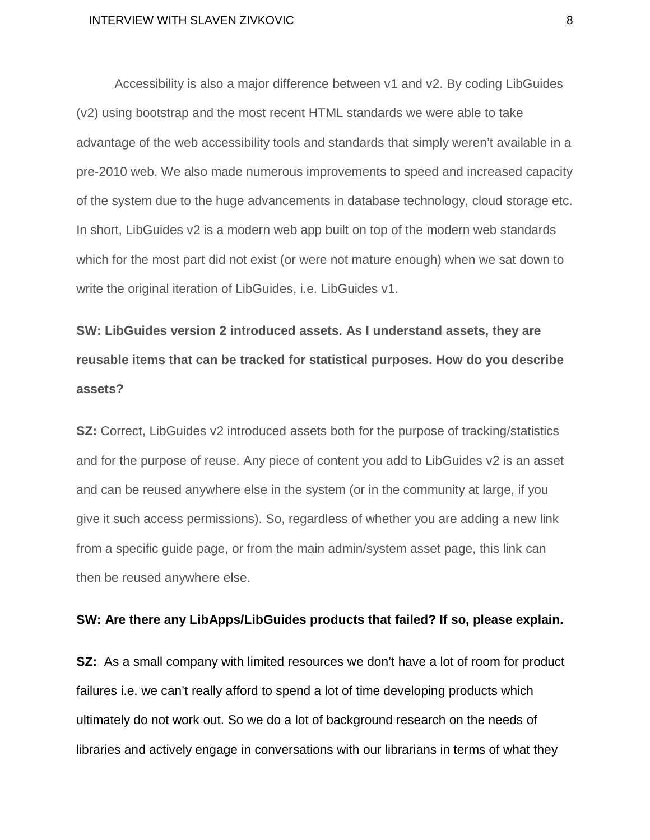Accessibility is also a major difference between v1 and v2. By coding LibGuides (v2) using bootstrap and the most recent HTML standards we were able to take advantage of the web accessibility tools and standards that simply weren't available in a pre-2010 web. We also made numerous improvements to speed and increased capacity of the system due to the huge advancements in database technology, cloud storage etc. In short, LibGuides v2 is a modern web app built on top of the modern web standards which for the most part did not exist (or were not mature enough) when we sat down to write the original iteration of LibGuides, i.e. LibGuides v1.

**SW: LibGuides version 2 introduced assets. As I understand assets, they are reusable items that can be tracked for statistical purposes. How do you describe assets?**

**SZ:** Correct, LibGuides v2 introduced assets both for the purpose of tracking/statistics and for the purpose of reuse. Any piece of content you add to LibGuides v2 is an asset and can be reused anywhere else in the system (or in the community at large, if you give it such access permissions). So, regardless of whether you are adding a new link from a specific guide page, or from the main admin/system asset page, this link can then be reused anywhere else.

## **SW: Are there any LibApps/LibGuides products that failed? If so, please explain.**

**SZ:** As a small company with limited resources we don't have a lot of room for product failures i.e. we can't really afford to spend a lot of time developing products which ultimately do not work out. So we do a lot of background research on the needs of libraries and actively engage in conversations with our librarians in terms of what they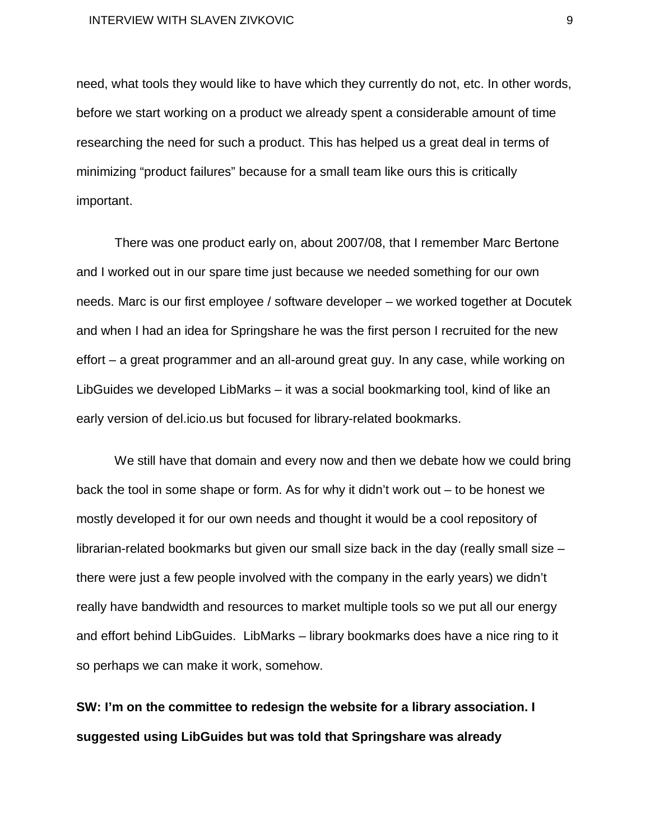need, what tools they would like to have which they currently do not, etc. In other words, before we start working on a product we already spent a considerable amount of time researching the need for such a product. This has helped us a great deal in terms of minimizing "product failures" because for a small team like ours this is critically important.

There was one product early on, about 2007/08, that I remember Marc Bertone and I worked out in our spare time just because we needed something for our own needs. Marc is our first employee / software developer – we worked together at Docutek and when I had an idea for Springshare he was the first person I recruited for the new effort – a great programmer and an all-around great guy. In any case, while working on LibGuides we developed LibMarks – it was a social bookmarking tool, kind of like an early version of del.icio.us but focused for library-related bookmarks.

We still have that domain and every now and then we debate how we could bring back the tool in some shape or form. As for why it didn't work out – to be honest we mostly developed it for our own needs and thought it would be a cool repository of librarian-related bookmarks but given our small size back in the day (really small size – there were just a few people involved with the company in the early years) we didn't really have bandwidth and resources to market multiple tools so we put all our energy and effort behind LibGuides. LibMarks – library bookmarks does have a nice ring to it so perhaps we can make it work, somehow.

**SW: I'm on the committee to redesign the website for a library association. I suggested using LibGuides but was told that Springshare was already**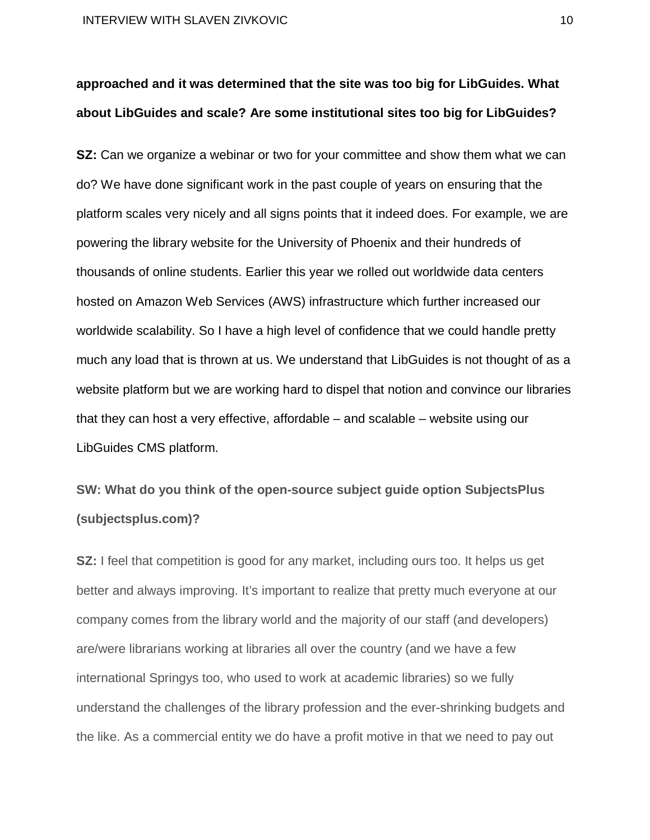# **approached and it was determined that the site was too big for LibGuides. What about LibGuides and scale? Are some institutional sites too big for LibGuides?**

**SZ:** Can we organize a webinar or two for your committee and show them what we can do? We have done significant work in the past couple of years on ensuring that the platform scales very nicely and all signs points that it indeed does. For example, we are powering the library website for the University of Phoenix and their hundreds of thousands of online students. Earlier this year we rolled out worldwide data centers hosted on Amazon Web Services (AWS) infrastructure which further increased our worldwide scalability. So I have a high level of confidence that we could handle pretty much any load that is thrown at us. We understand that LibGuides is not thought of as a website platform but we are working hard to dispel that notion and convince our libraries that they can host a very effective, affordable – and scalable – website using our LibGuides CMS platform.

**SW: What do you think of the open-source subject guide option SubjectsPlus (subjectsplus.com)?**

**SZ:** I feel that competition is good for any market, including ours too. It helps us get better and always improving. It's important to realize that pretty much everyone at our company comes from the library world and the majority of our staff (and developers) are/were librarians working at libraries all over the country (and we have a few international Springys too, who used to work at academic libraries) so we fully understand the challenges of the library profession and the ever-shrinking budgets and the like. As a commercial entity we do have a profit motive in that we need to pay out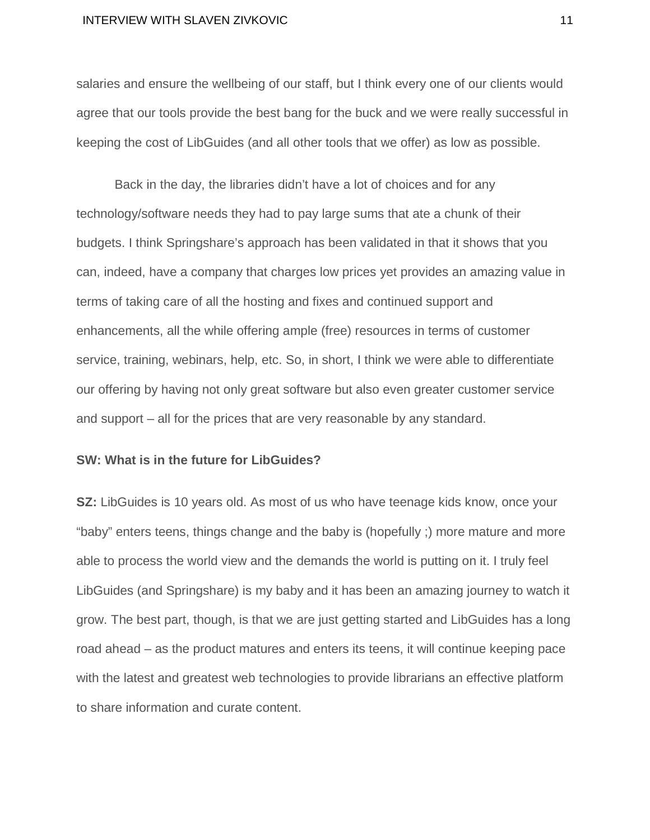salaries and ensure the wellbeing of our staff, but I think every one of our clients would agree that our tools provide the best bang for the buck and we were really successful in keeping the cost of LibGuides (and all other tools that we offer) as low as possible.

Back in the day, the libraries didn't have a lot of choices and for any technology/software needs they had to pay large sums that ate a chunk of their budgets. I think Springshare's approach has been validated in that it shows that you can, indeed, have a company that charges low prices yet provides an amazing value in terms of taking care of all the hosting and fixes and continued support and enhancements, all the while offering ample (free) resources in terms of customer service, training, webinars, help, etc. So, in short, I think we were able to differentiate our offering by having not only great software but also even greater customer service and support – all for the prices that are very reasonable by any standard.

### **SW: What is in the future for LibGuides?**

**SZ:** LibGuides is 10 years old. As most of us who have teenage kids know, once your "baby" enters teens, things change and the baby is (hopefully ;) more mature and more able to process the world view and the demands the world is putting on it. I truly feel LibGuides (and Springshare) is my baby and it has been an amazing journey to watch it grow. The best part, though, is that we are just getting started and LibGuides has a long road ahead – as the product matures and enters its teens, it will continue keeping pace with the latest and greatest web technologies to provide librarians an effective platform to share information and curate content.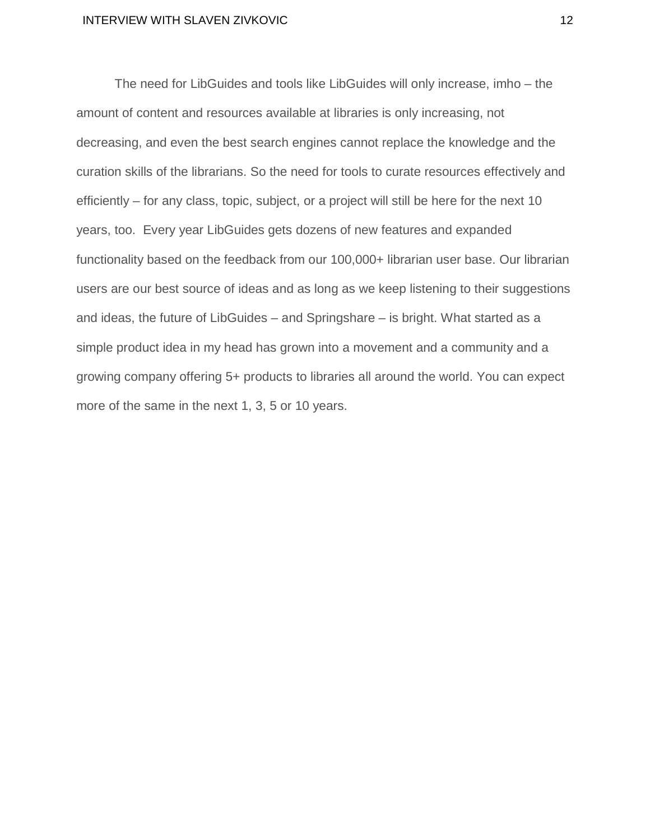The need for LibGuides and tools like LibGuides will only increase, imho – the amount of content and resources available at libraries is only increasing, not decreasing, and even the best search engines cannot replace the knowledge and the curation skills of the librarians. So the need for tools to curate resources effectively and efficiently – for any class, topic, subject, or a project will still be here for the next 10 years, too. Every year LibGuides gets dozens of new features and expanded functionality based on the feedback from our 100,000+ librarian user base. Our librarian users are our best source of ideas and as long as we keep listening to their suggestions and ideas, the future of LibGuides – and Springshare – is bright. What started as a simple product idea in my head has grown into a movement and a community and a growing company offering 5+ products to libraries all around the world. You can expect more of the same in the next 1, 3, 5 or 10 years.